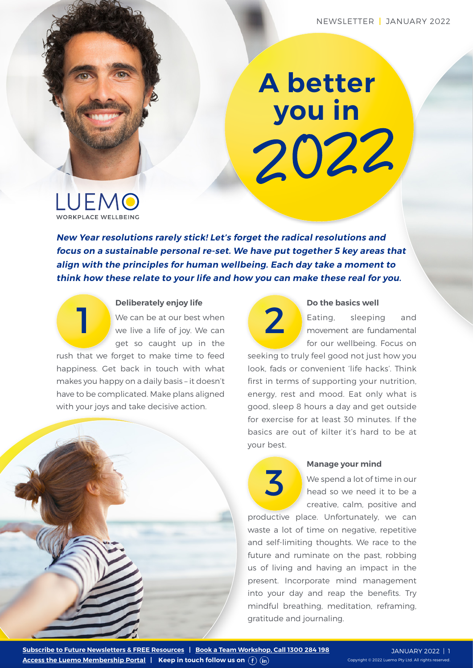## **A better you in**  2022

LUEMO WORKPLACE WELLBEINC

**New Year resolutions rarely stick! Let's forget the radical resolutions and focus on a sustainable personal re-set. We have put together 5 key areas that align with the principles for human wellbeing. Each day take a moment to think how these relate to your life and how you can make these real for you.**



#### **Deliberately enjoy life**

We can be at our best when we live a life of joy. We can get so caught up in the

rush that we forget to make time to feed happiness. Get back in touch with what makes you happy on a daily basis – it doesn't have to be complicated. Make plans aligned with your joys and take decisive action.





#### **Do the basics well**

Eating, sleeping and movement are fundamental for our wellbeing. Focus on

seeking to truly feel good not just how you look, fads or convenient 'life hacks'. Think first in terms of supporting your nutrition, energy, rest and mood. Eat only what is good, sleep 8 hours a day and get outside for exercise for at least 30 minutes. If the basics are out of kilter it's hard to be at your best.

# 3

#### **Manage your mind**

We spend a lot of time in our head so we need it to be a creative, calm, positive and

productive place. Unfortunately, we can waste a lot of time on negative, repetitive and self-limiting thoughts. We race to the future and ruminate on the past, robbing us of living and having an impact in the present. Incorporate mind management into your day and reap the benefits. Try mindful breathing, meditation, reframing, gratitude and journaling.